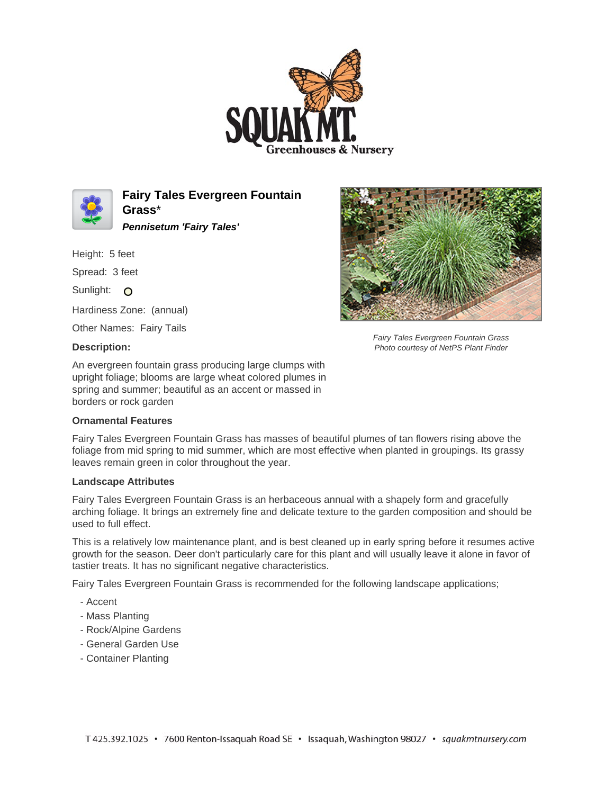



**Fairy Tales Evergreen Fountain Grass**\* **Pennisetum 'Fairy Tales'**

Height: 5 feet

Spread: 3 feet

Sunlight: O

Hardiness Zone: (annual)

Other Names: Fairy Tails

## **Description:**

An evergreen fountain grass producing large clumps with upright foliage; blooms are large wheat colored plumes in spring and summer; beautiful as an accent or massed in borders or rock garden

## **Ornamental Features**

Fairy Tales Evergreen Fountain Grass has masses of beautiful plumes of tan flowers rising above the foliage from mid spring to mid summer, which are most effective when planted in groupings. Its grassy leaves remain green in color throughout the year.

## **Landscape Attributes**

Fairy Tales Evergreen Fountain Grass is an herbaceous annual with a shapely form and gracefully arching foliage. It brings an extremely fine and delicate texture to the garden composition and should be used to full effect.

This is a relatively low maintenance plant, and is best cleaned up in early spring before it resumes active growth for the season. Deer don't particularly care for this plant and will usually leave it alone in favor of tastier treats. It has no significant negative characteristics.

Fairy Tales Evergreen Fountain Grass is recommended for the following landscape applications;

- Accent
- Mass Planting
- Rock/Alpine Gardens
- General Garden Use
- Container Planting



Fairy Tales Evergreen Fountain Grass Photo courtesy of NetPS Plant Finder